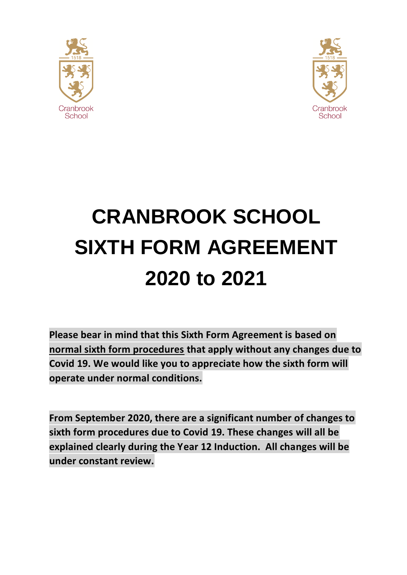



# **CRANBROOK SCHOOL SIXTH FORM AGREEMENT 2020 to 2021**

**Please bear in mind that this Sixth Form Agreement is based on normal sixth form procedures that apply without any changes due to Covid 19. We would like you to appreciate how the sixth form will operate under normal conditions.**

**From September 2020, there are a significant number of changes to sixth form procedures due to Covid 19. These changes will all be explained clearly during the Year 12 Induction. All changes will be under constant review.**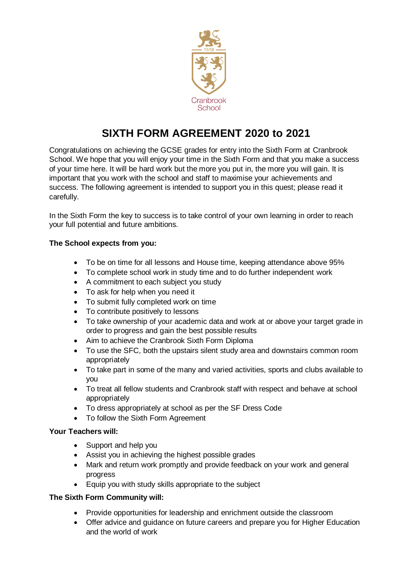

# **SIXTH FORM AGREEMENT 2020 to 2021**

Congratulations on achieving the GCSE grades for entry into the Sixth Form at Cranbrook School. We hope that you will enjoy your time in the Sixth Form and that you make a success of your time here. It will be hard work but the more you put in, the more you will gain. It is important that you work with the school and staff to maximise your achievements and success. The following agreement is intended to support you in this quest; please read it carefully.

In the Sixth Form the key to success is to take control of your own learning in order to reach your full potential and future ambitions.

#### **The School expects from you:**

- To be on time for all lessons and House time, keeping attendance above 95%
- To complete school work in study time and to do further independent work
- A commitment to each subject you study
- To ask for help when you need it
- To submit fully completed work on time
- To contribute positively to lessons
- To take ownership of your academic data and work at or above your target grade in order to progress and gain the best possible results
- Aim to achieve the Cranbrook Sixth Form Diploma
- To use the SFC, both the upstairs silent study area and downstairs common room appropriately
- To take part in some of the many and varied activities, sports and clubs available to you
- To treat all fellow students and Cranbrook staff with respect and behave at school appropriately
- To dress appropriately at school as per the SF Dress Code
- To follow the Sixth Form Agreement

#### **Your Teachers will:**

- Support and help you
- Assist you in achieving the highest possible grades
- Mark and return work promptly and provide feedback on your work and general progress
- Equip you with study skills appropriate to the subject

#### **The Sixth Form Community will:**

- Provide opportunities for leadership and enrichment outside the classroom
- Offer advice and guidance on future careers and prepare you for Higher Education and the world of work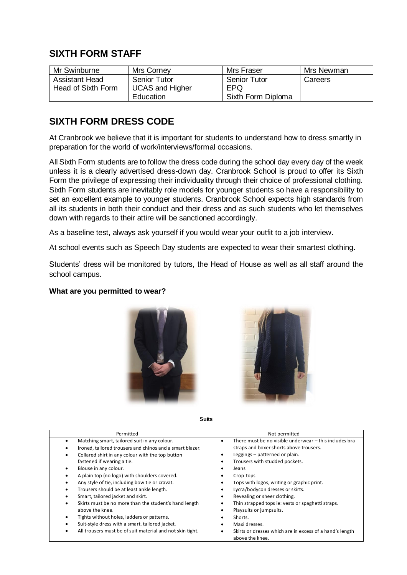## **SIXTH FORM STAFF**

| Mr Swinburne                                | <b>Mrs Corney</b>                             | Mrs Fraser                  | Mrs Newman |
|---------------------------------------------|-----------------------------------------------|-----------------------------|------------|
| <b>Assistant Head</b><br>Head of Sixth Form | <b>Senior Tutor</b><br><b>UCAS and Higher</b> | <b>Senior Tutor</b><br>EPQ. | Careers    |
|                                             | Education                                     | Sixth Form Diploma          |            |

## **SIXTH FORM DRESS CODE**

At Cranbrook we believe that it is important for students to understand how to dress smartly in preparation for the world of work/interviews/formal occasions.

All Sixth Form students are to follow the dress code during the school day every day of the week unless it is a clearly advertised dress-down day. Cranbrook School is proud to offer its Sixth Form the privilege of expressing their individuality through their choice of professional clothing. Sixth Form students are inevitably role models for younger students so have a responsibility to set an excellent example to younger students. Cranbrook School expects high standards from all its students in both their conduct and their dress and as such students who let themselves down with regards to their attire will be sanctioned accordingly.

As a baseline test, always ask yourself if you would wear your outfit to a job interview.

At school events such as Speech Day students are expected to wear their smartest clothing.

Students' dress will be monitored by tutors, the Head of House as well as all staff around the school campus.

#### **What are you permitted to wear?**





**Suits**

| Permitted                                                                                                                                                                                                                                                                                                                                                                                                                                                                                                                                                                                                                     | Not permitted                                                                                                                                                                                                                                                                                                                                                                                                                  |
|-------------------------------------------------------------------------------------------------------------------------------------------------------------------------------------------------------------------------------------------------------------------------------------------------------------------------------------------------------------------------------------------------------------------------------------------------------------------------------------------------------------------------------------------------------------------------------------------------------------------------------|--------------------------------------------------------------------------------------------------------------------------------------------------------------------------------------------------------------------------------------------------------------------------------------------------------------------------------------------------------------------------------------------------------------------------------|
| Matching smart, tailored suit in any colour.<br>٠<br>Ironed, tailored trousers and chinos and a smart blazer.<br>Collared shirt in any colour with the top button<br>٠<br>fastened if wearing a tie.<br>Blouse in any colour.<br>٠<br>A plain top (no logo) with shoulders covered.<br>٠<br>Any style of tie, including bow tie or cravat.<br>Trousers should be at least ankle length.<br>٠<br>Smart, tailored jacket and skirt.<br>Skirts must be no more than the student's hand length<br>٠<br>above the knee.<br>Tights without holes, ladders or patterns.<br>٠<br>Suit-style dress with a smart, tailored jacket.<br>٠ | There must be no visible underwear – this includes bra<br>straps and boxer shorts above trousers.<br>Leggings - patterned or plain.<br>Trousers with studded pockets.<br>Jeans<br>Crop-tops<br>Tops with logos, writing or graphic print.<br>Lycra/bodycon dresses or skirts.<br>Revealing or sheer clothing.<br>Thin strapped tops ie: vests or spaghetti straps.<br>Playsuits or jumpsuits.<br>Shorts.<br>Maxi dresses.<br>٠ |
| All trousers must be of suit material and not skin tight.<br>٠                                                                                                                                                                                                                                                                                                                                                                                                                                                                                                                                                                | Skirts or dresses which are in excess of a hand's length<br>above the knee.                                                                                                                                                                                                                                                                                                                                                    |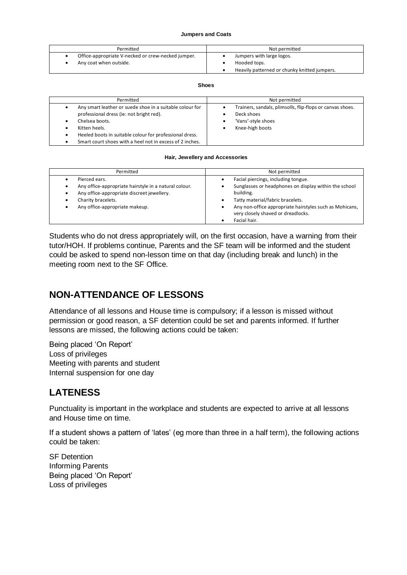#### **Jumpers and Coats**

| Permitted                                          | Not permitted                                |  |
|----------------------------------------------------|----------------------------------------------|--|
| Office-appropriate V-necked or crew-necked jumper. | Jumpers with large logos.                    |  |
| Any coat when outside.                             | Hooded tops.                                 |  |
|                                                    | Heavily patterned or chunky knitted jumpers. |  |

#### **Shoes**

| Permitted                                                                                                                                                                                                                                                      | Not permitted                                                                                                    |  |
|----------------------------------------------------------------------------------------------------------------------------------------------------------------------------------------------------------------------------------------------------------------|------------------------------------------------------------------------------------------------------------------|--|
| Any smart leather or suede shoe in a suitable colour for<br>professional dress (ie: not bright red).<br>Chelsea boots.<br>Kitten heels.<br>Heeled boots in suitable colour for professional dress.<br>Smart court shoes with a heel not in excess of 2 inches. | Trainers, sandals, plimsolls, flip-flops or canvas shoes.<br>Deck shoes<br>'Vans'-style shoes<br>Knee-high boots |  |

#### **Hair, Jewellery and Accessories**

| Permitted                                                                                                                                                                    | Not permitted                                                                                                                                                                                                                                  |
|------------------------------------------------------------------------------------------------------------------------------------------------------------------------------|------------------------------------------------------------------------------------------------------------------------------------------------------------------------------------------------------------------------------------------------|
| Pierced ears.<br>Any office-appropriate hairstyle in a natural colour.<br>Any office-appropriate discreet jewellery.<br>Charity bracelets.<br>Any office-appropriate makeup. | Facial piercings, including tongue.<br>Sunglasses or headphones on display within the school<br>building.<br>Tatty material/fabric bracelets.<br>Any non-office appropriate hairstyles such as Mohicans,<br>very closely shaved or dreadlocks. |
|                                                                                                                                                                              | Facial hair.                                                                                                                                                                                                                                   |

Students who do not dress appropriately will, on the first occasion, have a warning from their tutor/HOH. If problems continue, Parents and the SF team will be informed and the student could be asked to spend non-lesson time on that day (including break and lunch) in the meeting room next to the SF Office.

## **NON-ATTENDANCE OF LESSONS**

Attendance of all lessons and House time is compulsory; if a lesson is missed without permission or good reason, a SF detention could be set and parents informed. If further lessons are missed, the following actions could be taken:

Being placed 'On Report' Loss of privileges Meeting with parents and student Internal suspension for one day

## **LATENESS**

Punctuality is important in the workplace and students are expected to arrive at all lessons and House time on time.

If a student shows a pattern of 'lates' (eg more than three in a half term), the following actions could be taken:

SF Detention Informing Parents Being placed 'On Report' Loss of privileges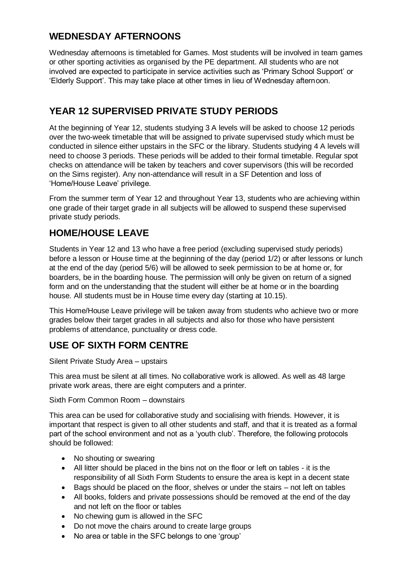## **WEDNESDAY AFTERNOONS**

Wednesday afternoons is timetabled for Games. Most students will be involved in team games or other sporting activities as organised by the PE department. All students who are not involved are expected to participate in service activities such as 'Primary School Support' or 'Elderly Support'. This may take place at other times in lieu of Wednesday afternoon.

## **YEAR 12 SUPERVISED PRIVATE STUDY PERIODS**

At the beginning of Year 12, students studying 3 A levels will be asked to choose 12 periods over the two-week timetable that will be assigned to private supervised study which must be conducted in silence either upstairs in the SFC or the library. Students studying 4 A levels will need to choose 3 periods. These periods will be added to their formal timetable. Regular spot checks on attendance will be taken by teachers and cover supervisors (this will be recorded on the Sims register). Any non-attendance will result in a SF Detention and loss of 'Home/House Leave' privilege.

From the summer term of Year 12 and throughout Year 13, students who are achieving within one grade of their target grade in all subjects will be allowed to suspend these supervised private study periods.

## **HOME/HOUSE LEAVE**

Students in Year 12 and 13 who have a free period (excluding supervised study periods) before a lesson or House time at the beginning of the day (period 1/2) or after lessons or lunch at the end of the day (period 5/6) will be allowed to seek permission to be at home or, for boarders, be in the boarding house. The permission will only be given on return of a signed form and on the understanding that the student will either be at home or in the boarding house. All students must be in House time every day (starting at 10.15).

This Home/House Leave privilege will be taken away from students who achieve two or more grades below their target grades in all subjects and also for those who have persistent problems of attendance, punctuality or dress code.

## **USE OF SIXTH FORM CENTRE**

Silent Private Study Area – upstairs

This area must be silent at all times. No collaborative work is allowed. As well as 48 large private work areas, there are eight computers and a printer.

Sixth Form Common Room – downstairs

This area can be used for collaborative study and socialising with friends. However, it is important that respect is given to all other students and staff, and that it is treated as a formal part of the school environment and not as a 'youth club'. Therefore, the following protocols should be followed:

- No shouting or swearing
- All litter should be placed in the bins not on the floor or left on tables it is the responsibility of all Sixth Form Students to ensure the area is kept in a decent state
- Bags should be placed on the floor, shelves or under the stairs not left on tables
- All books, folders and private possessions should be removed at the end of the day and not left on the floor or tables
- No chewing gum is allowed in the SFC
- Do not move the chairs around to create large groups
- No area or table in the SFC belongs to one 'group'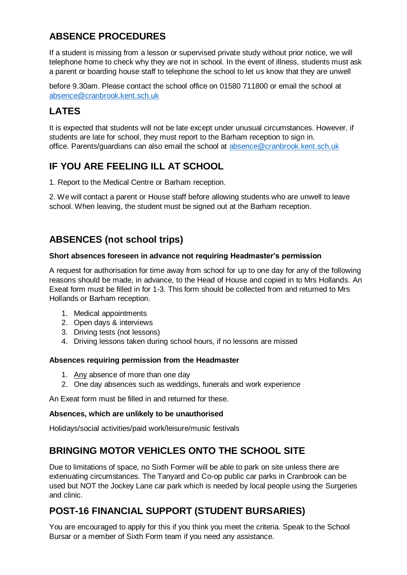## **ABSENCE PROCEDURES**

If a student is missing from a lesson or supervised private study without prior notice, we will telephone home to check why they are not in school. In the event of illness, students must ask a parent or boarding house staff to telephone the school to let us know that they are unwell

before 9.30am. Please contact the school office on 01580 711800 or email the school at absence@cranbrook.kent.sch.uk

## **LATES**

It is expected that students will not be late except under unusual circumstances. However, if students are late for school, they must report to the Barham reception to sign in. office. Parents/guardians can also email the school at [absence@cranbrook.kent.sch.uk](about:blank)

## **IF YOU ARE FEELING ILL AT SCHOOL**

1. Report to the Medical Centre or Barham reception.

2. We will contact a parent or House staff before allowing students who are unwell to leave school. When leaving, the student must be signed out at the Barham reception.

## **ABSENCES (not school trips)**

#### **Short absences foreseen in advance not requiring Headmaster's permission**

A request for authorisation for time away from school for up to one day for any of the following reasons should be made, in advance, to the Head of House and copied in to Mrs Hollands. An Exeat form must be filled in for 1-3. This form should be collected from and returned to Mrs Hollands or Barham reception.

- 1. Medical appointments
- 2. Open days & interviews
- 3. Driving tests (not lessons)
- 4. Driving lessons taken during school hours, if no lessons are missed

#### **Absences requiring permission from the Headmaster**

- 1. Any absence of more than one day
- 2. One day absences such as weddings, funerals and work experience

An Exeat form must be filled in and returned for these.

#### **Absences, which are unlikely to be unauthorised**

Holidays/social activities/paid work/leisure/music festivals

## **BRINGING MOTOR VEHICLES ONTO THE SCHOOL SITE**

Due to limitations of space, no Sixth Former will be able to park on site unless there are extenuating circumstances. The Tanyard and Co-op public car parks in Cranbrook can be used but NOT the Jockey Lane car park which is needed by local people using the Surgeries and clinic.

## **POST-16 FINANCIAL SUPPORT (STUDENT BURSARIES)**

You are encouraged to apply for this if you think you meet the criteria. Speak to the School Bursar or a member of Sixth Form team if you need any assistance.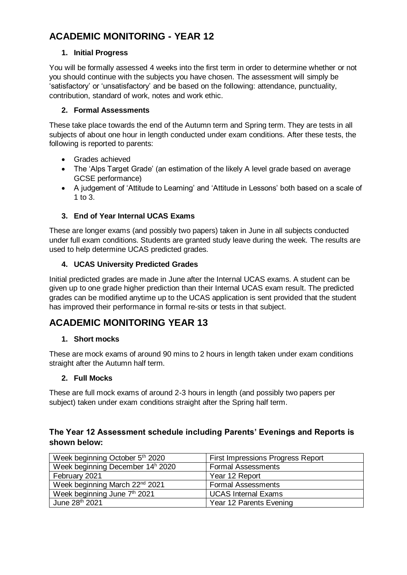## **ACADEMIC MONITORING - YEAR 12**

#### **1. Initial Progress**

You will be formally assessed 4 weeks into the first term in order to determine whether or not you should continue with the subjects you have chosen. The assessment will simply be 'satisfactory' or 'unsatisfactory' and be based on the following: attendance, punctuality, contribution, standard of work, notes and work ethic.

#### **2. Formal Assessments**

These take place towards the end of the Autumn term and Spring term. They are tests in all subjects of about one hour in length conducted under exam conditions. After these tests, the following is reported to parents:

- Grades achieved
- The 'Alps Target Grade' (an estimation of the likely A level grade based on average GCSE performance)
- A judgement of 'Attitude to Learning' and 'Attitude in Lessons' both based on a scale of 1 to 3.

## **3. End of Year Internal UCAS Exams**

These are longer exams (and possibly two papers) taken in June in all subjects conducted under full exam conditions. Students are granted study leave during the week. The results are used to help determine UCAS predicted grades.

#### **4. UCAS University Predicted Grades**

Initial predicted grades are made in June after the Internal UCAS exams. A student can be given up to one grade higher prediction than their Internal UCAS exam result. The predicted grades can be modified anytime up to the UCAS application is sent provided that the student has improved their performance in formal re-sits or tests in that subject.

## **ACADEMIC MONITORING YEAR 13**

#### **1. Short mocks**

These are mock exams of around 90 mins to 2 hours in length taken under exam conditions straight after the Autumn half term.

#### **2. Full Mocks**

These are full mock exams of around 2-3 hours in length (and possibly two papers per subject) taken under exam conditions straight after the Spring half term.

## **The Year 12 Assessment schedule including Parents' Evenings and Reports is shown below:**

| Week beginning October 5th 2020              | First Impressions Progress Report |
|----------------------------------------------|-----------------------------------|
| Week beginning December 14 <sup>h</sup> 2020 | <b>Formal Assessments</b>         |
| February 2021                                | Year 12 Report                    |
| Week beginning March 22 <sup>nd</sup> 2021   | <b>Formal Assessments</b>         |
| Week beginning June 7th 2021                 | <b>UCAS Internal Exams</b>        |
| June 28th 2021                               | Year 12 Parents Evening           |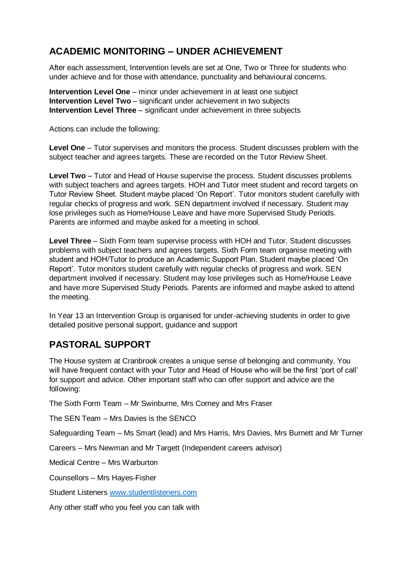## **ACADEMIC MONITORING – UNDER ACHIEVEMENT**

After each assessment, Intervention levels are set at One, Two or Three for students who under achieve and for those with attendance, punctuality and behavioural concerns.

**Intervention Level One** – minor under achievement in at least one subject **Intervention Level Two** – significant under achievement in two subjects **Intervention Level Three** – significant under achievement in three subjects

Actions can include the following:

**Level One** – Tutor supervises and monitors the process. Student discusses problem with the subject teacher and agrees targets. These are recorded on the Tutor Review Sheet.

**Level Two** – Tutor and Head of House supervise the process. Student discusses problems with subject teachers and agrees targets. HOH and Tutor meet student and record targets on Tutor Review Sheet. Student maybe placed 'On Report'. Tutor monitors student carefully with regular checks of progress and work. SEN department involved if necessary. Student may lose privileges such as Home/House Leave and have more Supervised Study Periods. Parents are informed and maybe asked for a meeting in school.

**Level Three** – Sixth Form team supervise process with HOH and Tutor. Student discusses problems with subject teachers and agrees targets. Sixth Form team organise meeting with student and HOH/Tutor to produce an Academic Support Plan. Student maybe placed 'On Report'. Tutor monitors student carefully with regular checks of progress and work. SEN department involved if necessary. Student may lose privileges such as Home/House Leave and have more Supervised Study Periods. Parents are informed and maybe asked to attend the meeting.

In Year 13 an Intervention Group is organised for under-achieving students in order to give detailed positive personal support, guidance and support

## **PASTORAL SUPPORT**

The House system at Cranbrook creates a unique sense of belonging and community. You will have frequent contact with your Tutor and Head of House who will be the first 'port of call' for support and advice. Other important staff who can offer support and advice are the following:

The Sixth Form Team – Mr Swinburne, Mrs Corney and Mrs Fraser

The SEN Team – Mrs Davies is the SENCO

Safeguarding Team – Ms Smart (lead) and Mrs Harris, Mrs Davies, Mrs Burnett and Mr Turner

Careers – Mrs Newman and Mr Targett (Independent careers advisor)

Medical Centre – Mrs Warburton

Counsellors – Mrs Hayes-Fisher

Student Listeners [www.studentlisteners.com](about:blank)

Any other staff who you feel you can talk with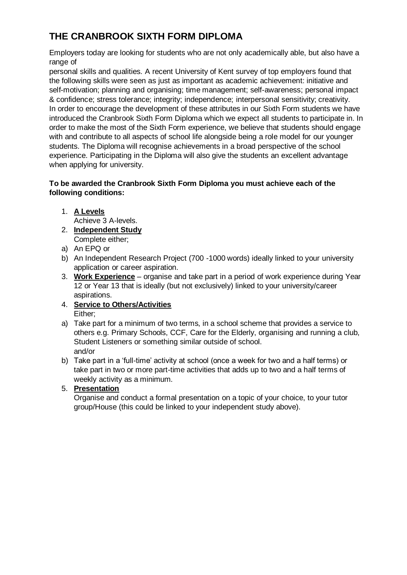## **THE CRANBROOK SIXTH FORM DIPLOMA**

Employers today are looking for students who are not only academically able, but also have a range of

personal skills and qualities. A recent University of Kent survey of top employers found that the following skills were seen as just as important as academic achievement: initiative and self-motivation; planning and organising; time management; self-awareness; personal impact & confidence; stress tolerance; integrity; independence; interpersonal sensitivity; creativity. In order to encourage the development of these attributes in our Sixth Form students we have introduced the Cranbrook Sixth Form Diploma which we expect all students to participate in. In order to make the most of the Sixth Form experience, we believe that students should engage with and contribute to all aspects of school life alongside being a role model for our younger students. The Diploma will recognise achievements in a broad perspective of the school experience. Participating in the Diploma will also give the students an excellent advantage when applying for university.

#### **To be awarded the Cranbrook Sixth Form Diploma you must achieve each of the following conditions:**

1. **A Levels**

Achieve 3 A-levels.

- 2. **Independent Study** Complete either;
- a) An EPQ or
- b) An Independent Research Project (700 -1000 words) ideally linked to your university application or career aspiration.
- 3. **Work Experience** organise and take part in a period of work experience during Year 12 or Year 13 that is ideally (but not exclusively) linked to your university/career aspirations.
- 4. **Service to Others/Activities** Either;
- a) Take part for a minimum of two terms, in a school scheme that provides a service to others e.g. Primary Schools, CCF, Care for the Elderly, organising and running a club, Student Listeners or something similar outside of school. and/or
- b) Take part in a 'full-time' activity at school (once a week for two and a half terms) or take part in two or more part-time activities that adds up to two and a half terms of weekly activity as a minimum.

## 5. **Presentation**

Organise and conduct a formal presentation on a topic of your choice, to your tutor group/House (this could be linked to your independent study above).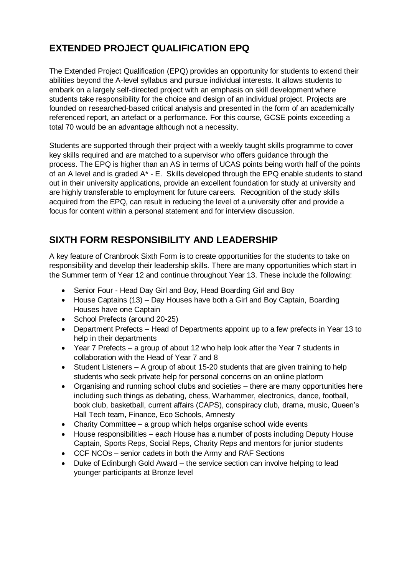## **EXTENDED PROJECT QUALIFICATION EPQ**

The Extended Project Qualification (EPQ) provides an opportunity for students to extend their abilities beyond the A-level syllabus and pursue individual interests. It allows students to embark on a largely self-directed project with an emphasis on skill development where students take responsibility for the choice and design of an individual project. Projects are founded on researched-based critical analysis and presented in the form of an academically referenced report, an artefact or a performance. For this course, GCSE points exceeding a total 70 would be an advantage although not a necessity.

Students are supported through their project with a weekly taught skills programme to cover key skills required and are matched to a supervisor who offers guidance through the process. The EPQ is higher than an AS in terms of UCAS points being worth half of the points of an A level and is graded A\* - E. Skills developed through the EPQ enable students to stand out in their university applications, provide an excellent foundation for study at university and are highly transferable to employment for future careers. Recognition of the study skills acquired from the EPQ, can result in reducing the level of a university offer and provide a focus for content within a personal statement and for interview discussion.

## **SIXTH FORM RESPONSIBILITY AND LEADERSHIP**

A key feature of Cranbrook Sixth Form is to create opportunities for the students to take on responsibility and develop their leadership skills. There are many opportunities which start in the Summer term of Year 12 and continue throughout Year 13. These include the following:

- Senior Four Head Day Girl and Boy, Head Boarding Girl and Boy
- House Captains (13) Day Houses have both a Girl and Boy Captain, Boarding Houses have one Captain
- School Prefects (around 20-25)
- Department Prefects Head of Departments appoint up to a few prefects in Year 13 to help in their departments
- Year 7 Prefects a group of about 12 who help look after the Year 7 students in collaboration with the Head of Year 7 and 8
- Student Listeners A group of about 15-20 students that are given training to help students who seek private help for personal concerns on an online platform
- Organising and running school clubs and societies there are many opportunities here including such things as debating, chess, Warhammer, electronics, dance, football, book club, basketball, current affairs (CAPS), conspiracy club, drama, music, Queen's Hall Tech team, Finance, Eco Schools, Amnesty
- Charity Committee a group which helps organise school wide events
- House responsibilities each House has a number of posts including Deputy House Captain, Sports Reps, Social Reps, Charity Reps and mentors for junior students
- CCF NCOs senior cadets in both the Army and RAF Sections
- Duke of Edinburgh Gold Award the service section can involve helping to lead younger participants at Bronze level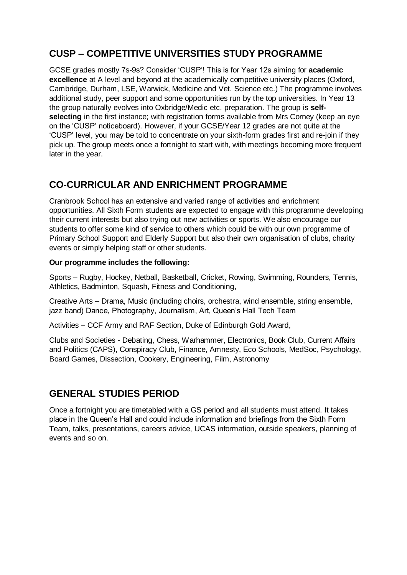## **CUSP – COMPETITIVE UNIVERSITIES STUDY PROGRAMME**

GCSE grades mostly 7s-9s? Consider 'CUSP'! This is for Year 12s aiming for **academic excellence** at A level and beyond at the academically competitive university places (Oxford, Cambridge, Durham, LSE, Warwick, Medicine and Vet. Science etc.) The programme involves additional study, peer support and some opportunities run by the top universities. In Year 13 the group naturally evolves into Oxbridge/Medic etc. preparation. The group is **selfselecting** in the first instance; with registration forms available from Mrs Corney (keep an eye on the 'CUSP' noticeboard). However, if your GCSE/Year 12 grades are not quite at the 'CUSP' level, you may be told to concentrate on your sixth-form grades first and re-join if they pick up. The group meets once a fortnight to start with, with meetings becoming more frequent later in the year.

## **CO-CURRICULAR AND ENRICHMENT PROGRAMME**

Cranbrook School has an extensive and varied range of activities and enrichment opportunities. All Sixth Form students are expected to engage with this programme developing their current interests but also trying out new activities or sports. We also encourage our students to offer some kind of service to others which could be with our own programme of Primary School Support and Elderly Support but also their own organisation of clubs, charity events or simply helping staff or other students.

#### **Our programme includes the following:**

Sports – Rugby, Hockey, Netball, Basketball, Cricket, Rowing, Swimming, Rounders, Tennis, Athletics, Badminton, Squash, Fitness and Conditioning,

Creative Arts – Drama, Music (including choirs, orchestra, wind ensemble, string ensemble, jazz band) Dance, Photography, Journalism, Art, Queen's Hall Tech Team

Activities – CCF Army and RAF Section, Duke of Edinburgh Gold Award,

Clubs and Societies - Debating, Chess, Warhammer, Electronics, Book Club, Current Affairs and Politics (CAPS), Conspiracy Club, Finance, Amnesty, Eco Schools, MedSoc, Psychology, Board Games, Dissection, Cookery, Engineering, Film, Astronomy

## **GENERAL STUDIES PERIOD**

Once a fortnight you are timetabled with a GS period and all students must attend. It takes place in the Queen's Hall and could include information and briefings from the Sixth Form Team, talks, presentations, careers advice, UCAS information, outside speakers, planning of events and so on.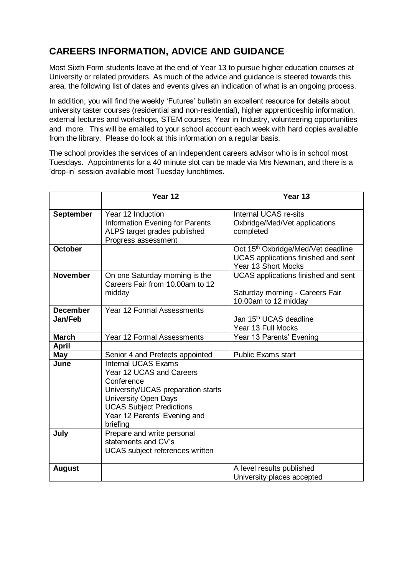## **CAREERS INFORMATION, ADVICE AND GUIDANCE**

Most Sixth Form students leave at the end of Year 13 to pursue higher education courses at University or related providers. As much of the advice and guidance is steered towards this area, the following list of dates and events gives an indication of what is an ongoing process.

In addition, you will find the weekly 'Futures' bulletin an excellent resource for details about university taster courses (residential and non-residential), higher apprenticeship information, external lectures and workshops, STEM courses, Year in Industry, volunteering opportunities and more. This will be emailed to your school account each week with hard copies available from the library. Please do look at this information on a regular basis.

The school provides the services of an independent careers advisor who is in school most Tuesdays. Appointments for a 40 minute slot can be made via Mrs Newman, and there is a 'drop-in' session available most Tuesday lunchtimes.

|                  | Year 12                                                                                                                                                                                                                  | Year 13                                                                                                      |
|------------------|--------------------------------------------------------------------------------------------------------------------------------------------------------------------------------------------------------------------------|--------------------------------------------------------------------------------------------------------------|
| <b>September</b> | Year 12 Induction<br>Information Evening for Parents<br>ALPS target grades published<br>Progress assessment                                                                                                              | Internal UCAS re-sits<br>Oxbridge/Med/Vet applications<br>completed                                          |
| <b>October</b>   |                                                                                                                                                                                                                          | Oct 15 <sup>th</sup> Oxbridge/Med/Vet deadline<br>UCAS applications finished and sent<br>Year 13 Short Mocks |
| <b>November</b>  | On one Saturday morning is the<br>Careers Fair from 10.00am to 12<br>midday                                                                                                                                              | UCAS applications finished and sent<br>Saturday morning - Careers Fair<br>10.00am to 12 midday               |
| <b>December</b>  | Year 12 Formal Assessments                                                                                                                                                                                               |                                                                                                              |
| Jan/Feb          |                                                                                                                                                                                                                          | Jan 15 <sup>th</sup> UCAS deadline<br>Year 13 Full Mocks                                                     |
| <b>March</b>     | Year 12 Formal Assessments                                                                                                                                                                                               | Year 13 Parents' Evening                                                                                     |
| <b>April</b>     |                                                                                                                                                                                                                          |                                                                                                              |
| <b>May</b>       | Senior 4 and Prefects appointed                                                                                                                                                                                          | <b>Public Exams start</b>                                                                                    |
| June             | <b>Internal UCAS Exams</b><br>Year 12 UCAS and Careers<br>Conference<br>University/UCAS preparation starts<br><b>University Open Days</b><br><b>UCAS Subject Predictions</b><br>Year 12 Parents' Evening and<br>briefing |                                                                                                              |
| July             | Prepare and write personal<br>statements and CV's<br>UCAS subject references written                                                                                                                                     |                                                                                                              |
| <b>August</b>    |                                                                                                                                                                                                                          | A level results published<br>University places accepted                                                      |